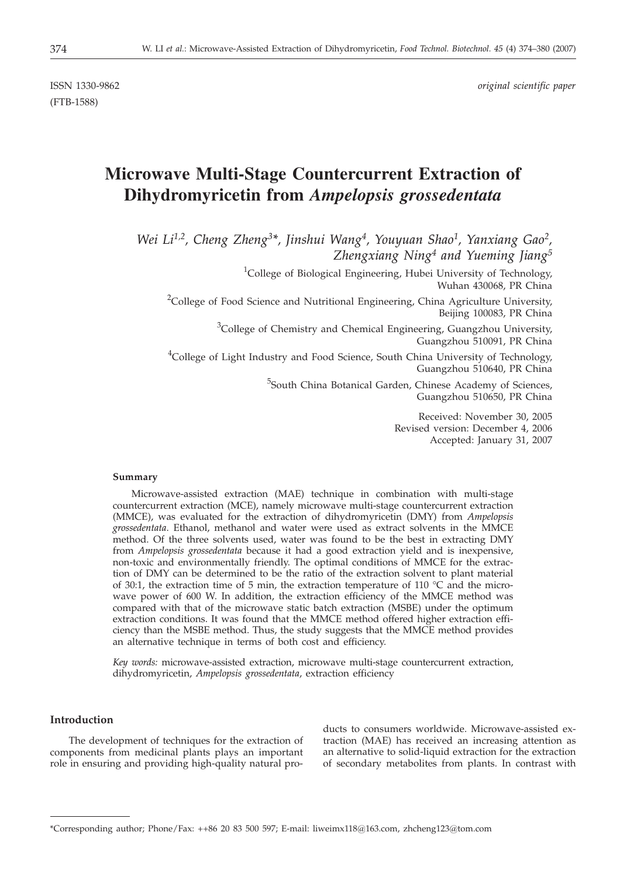ISSN 1330-9862 *original scientific paper*

(FTB-1588)

# **Microwave Multi-Stage Countercurrent Extraction of Dihydromyricetin from** *Ampelopsis grossedentata*

*Wei Li1,2, Cheng Zheng3\*, Jinshui Wang4, Youyuan Shao1, Yanxiang Gao2, Zhengxiang Ning4 and Yueming Jiang5*

> <sup>1</sup>College of Biological Engineering, Hubei University of Technology, Wuhan 430068, PR China

<sup>2</sup>College of Food Science and Nutritional Engineering, China Agriculture University, Beijing 100083, PR China

> <sup>3</sup>College of Chemistry and Chemical Engineering, Guangzhou University, Guangzhou 510091, PR China

<sup>4</sup>College of Light Industry and Food Science, South China University of Technology, Guangzhou 510640, PR China

> <sup>5</sup>South China Botanical Garden, Chinese Academy of Sciences, Guangzhou 510650, PR China

> > Received: November 30, 2005 Revised version: December 4, 2006 Accepted: January 31, 2007

## **Summary**

Microwave-assisted extraction (MAE) technique in combination with multi-stage countercurrent extraction (MCE), namely microwave multi-stage countercurrent extraction (MMCE), was evaluated for the extraction of dihydromyricetin (DMY) from *Ampelopsis grossedentata*. Ethanol, methanol and water were used as extract solvents in the MMCE method. Of the three solvents used, water was found to be the best in extracting DMY from *Ampelopsis grossedentata* because it had a good extraction yield and is inexpensive, non-toxic and environmentally friendly. The optimal conditions of MMCE for the extraction of DMY can be determined to be the ratio of the extraction solvent to plant material of 30:1, the extraction time of 5 min, the extraction temperature of 110  $^{\circ}$ C and the microwave power of 600 W. In addition, the extraction efficiency of the MMCE method was compared with that of the microwave static batch extraction (MSBE) under the optimum extraction conditions. It was found that the MMCE method offered higher extraction efficiency than the MSBE method. Thus, the study suggests that the MMCE method provides an alternative technique in terms of both cost and efficiency.

*Key words:* microwave-assisted extraction, microwave multi-stage countercurrent extraction, dihydromyricetin, *Ampelopsis grossedentata*, extraction efficiency

# **Introduction**

The development of techniques for the extraction of components from medicinal plants plays an important role in ensuring and providing high-quality natural products to consumers worldwide. Microwave-assisted extraction (MAE) has received an increasing attention as an alternative to solid-liquid extraction for the extraction of secondary metabolites from plants. In contrast with

<sup>\*</sup>Corresponding author; Phone/Fax: ++86 20 83 500 597; E-mail: liweimx118@163.com, zhcheng123@tom.com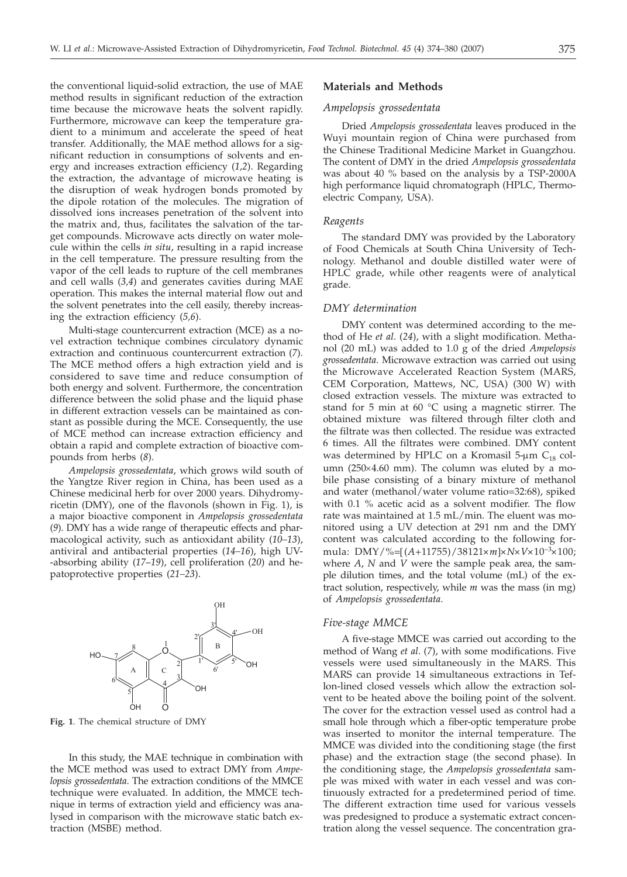the conventional liquid-solid extraction, the use of MAE method results in significant reduction of the extraction time because the microwave heats the solvent rapidly. Furthermore, microwave can keep the temperature gradient to a minimum and accelerate the speed of heat transfer. Additionally, the MAE method allows for a significant reduction in consumptions of solvents and energy and increases extraction efficiency (*1,2*). Regarding the extraction, the advantage of microwave heating is the disruption of weak hydrogen bonds promoted by the dipole rotation of the molecules. The migration of dissolved ions increases penetration of the solvent into the matrix and, thus, facilitates the salvation of the target compounds. Microwave acts directly on water molecule within the cells *in situ*, resulting in a rapid increase in the cell temperature. The pressure resulting from the vapor of the cell leads to rupture of the cell membranes and cell walls (*3,4*) and generates cavities during MAE operation. This makes the internal material flow out and the solvent penetrates into the cell easily, thereby increasing the extraction efficiency (*5,6*).

Multi-stage countercurrent extraction (MCE) as a novel extraction technique combines circulatory dynamic extraction and continuous countercurrent extraction (*7*). The MCE method offers a high extraction yield and is considered to save time and reduce consumption of both energy and solvent. Furthermore, the concentration difference between the solid phase and the liquid phase in different extraction vessels can be maintained as constant as possible during the MCE. Consequently, the use of MCE method can increase extraction efficiency and obtain a rapid and complete extraction of bioactive compounds from herbs (*8*).

*Ampelopsis grossedentata*, which grows wild south of the Yangtze River region in China, has been used as a Chinese medicinal herb for over 2000 years. Dihydromyricetin (DMY), one of the flavonols (shown in Fig. 1), is a major bioactive component in *Ampelopsis grossedentata* (*9*). DMY has a wide range of therapeutic effects and pharmacological activity, such as antioxidant ability (*10–13*), antiviral and antibacterial properties (*14–16*), high UV- -absorbing ability (*17*–*19*), cell proliferation (*20*) and hepatoprotective properties (*21–23*).



**Fig. 1**. The chemical structure of DMY

In this study, the MAE technique in combination with the MCE method was used to extract DMY from *Ampelopsis grossedentata*. The extraction conditions of the MMCE technique were evaluated. In addition, the MMCE technique in terms of extraction yield and efficiency was analysed in comparison with the microwave static batch extraction (MSBE) method.

### **Materials and Methods**

### *Ampelopsis grossedentata*

Dried *Ampelopsis grossedentata* leaves produced in the Wuyi mountain region of China were purchased from the Chinese Traditional Medicine Market in Guangzhou. The content of DMY in the dried *Ampelopsis grossedentata* was about 40 % based on the analysis by a TSP-2000A high performance liquid chromatograph (HPLC, Thermoelectric Company, USA).

## *Reagents*

The standard DMY was provided by the Laboratory of Food Chemicals at South China University of Technology. Methanol and double distilled water were of HPLC grade, while other reagents were of analytical grade.

## *DMY determination*

DMY content was determined according to the method of He *et al*. (*24*), with a slight modification. Methanol (20 mL) was added to 1.0 g of the dried *Ampelopsis grossedentata*. Microwave extraction was carried out using the Microwave Accelerated Reaction System (MARS, CEM Corporation, Mattews, NC, USA) (300 W) with closed extraction vessels. The mixture was extracted to stand for 5 min at 60 °C using a magnetic stirrer. The obtained mixture was filtered through filter cloth and the filtrate was then collected. The residue was extracted 6 times. All the filtrates were combined. DMY content was determined by HPLC on a Kromasil 5- $\mu$ m C<sub>18</sub> column ( $250\times4.60$  mm). The column was eluted by a mobile phase consisting of a binary mixture of methanol and water (methanol/water volume ratio=32:68), spiked with 0.1 % acetic acid as a solvent modifier. The flow rate was maintained at 1.5 mL/min. The eluent was monitored using a UV detection at 291 nm and the DMY content was calculated according to the following formula: DMY/%= $[(A+11755)/38121 \times m] \times N \times V \times 10^{-3} \times 100;$ where *A*, *N* and *V* were the sample peak area, the sample dilution times, and the total volume (mL) of the extract solution, respectively, while *m* was the mass (in mg) of *Ampelopsis grossedentata*.

#### *Five-stage MMCE*

A five-stage MMCE was carried out according to the method of Wang *et al*. (*7*), with some modifications. Five vessels were used simultaneously in the MARS. This MARS can provide 14 simultaneous extractions in Teflon-lined closed vessels which allow the extraction solvent to be heated above the boiling point of the solvent. The cover for the extraction vessel used as control had a small hole through which a fiber-optic temperature probe was inserted to monitor the internal temperature. The MMCE was divided into the conditioning stage (the first phase) and the extraction stage (the second phase). In the conditioning stage, the *Ampelopsis grossedentata* sample was mixed with water in each vessel and was continuously extracted for a predetermined period of time. The different extraction time used for various vessels was predesigned to produce a systematic extract concentration along the vessel sequence. The concentration gra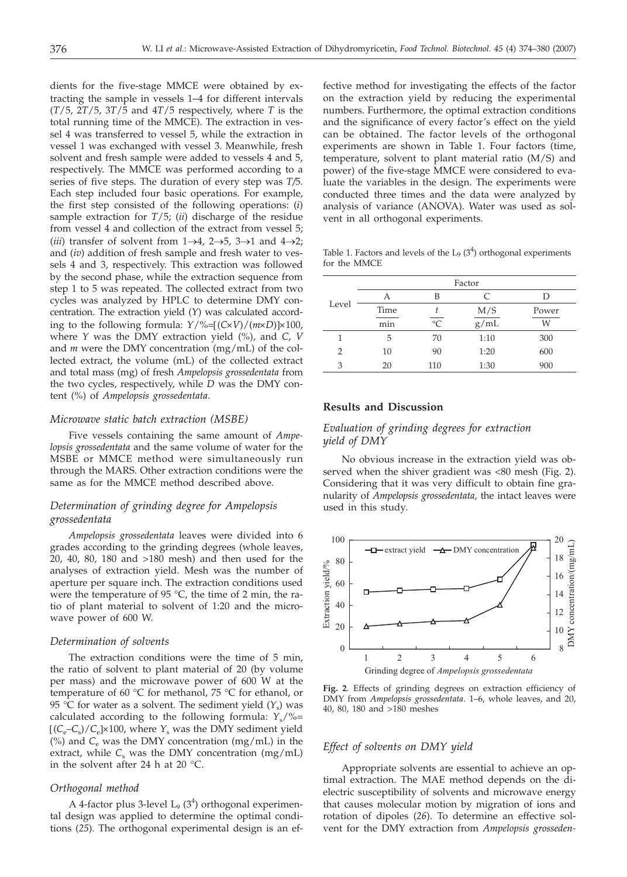dients for the five-stage MMCE were obtained by extracting the sample in vessels 1-4 for different intervals (*T*/5, 2*T*/5, 3*T*/5 and 4*T*/5 respectively, where *T* is the total running time of the MMCE). The extraction in vessel 4 was transferred to vessel 5, while the extraction in vessel 1 was exchanged with vessel 3. Meanwhile, fresh solvent and fresh sample were added to vessels 4 and 5, respectively. The MMCE was performed according to a series of five steps. The duration of every step was *T/*5. Each step included four basic operations. For example, the first step consisted of the following operations: (*i*) sample extraction for *T*/5; (*ii*) discharge of the residue from vessel 4 and collection of the extract from vessel 5; (*iii*) transfer of solvent from  $1\rightarrow 4$ ,  $2\rightarrow 5$ ,  $3\rightarrow 1$  and  $4\rightarrow 2$ ; and (*iv*) addition of fresh sample and fresh water to vessels 4 and 3, respectively. This extraction was followed by the second phase, while the extraction sequence from step 1 to 5 was repeated. The collected extract from two cycles was analyzed by HPLC to determine DMY concentration. The extraction yield (*Y*) was calculated according to the following formula:  $Y/\%=[(C \times V)/(m \times D)] \times 100$ , where *Y* was the DMY extraction yield (%), and *C*, *V* and *m* were the DMY concentration (mg/mL) of the collected extract, the volume (mL) of the collected extract and total mass (mg) of fresh *Ampelopsis grossedentata* from the two cycles, respectively, while *D* was the DMY content (%) of *Ampelopsis grossedentata*.

#### *Microwave static batch extraction (MSBE)*

Five vessels containing the same amount of *Ampelopsis grossedentata* and the same volume of water for the MSBE or MMCE method were simultaneously run through the MARS. Other extraction conditions were the same as for the MMCE method described above.

## *Determination of grinding degree for Ampelopsis grossedentata*

*Ampelopsis grossedentata* leaves were divided into 6 grades according to the grinding degrees (whole leaves, 20, 40, 80, 180 and >180 mesh) and then used for the analyses of extraction yield. Mesh was the number of aperture per square inch. The extraction conditions used were the temperature of 95 °C, the time of 2 min, the ratio of plant material to solvent of 1:20 and the microwave power of 600 W.

#### *Determination of solvents*

The extraction conditions were the time of 5 min, the ratio of solvent to plant material of 20 (by volume per mass) and the microwave power of 600 W at the temperature of 60 °C for methanol, 75 °C for ethanol, or 95 °C for water as a solvent. The sediment yield  $(Y<sub>s</sub>)$  was calculated according to the following formula:  $Y_s/\% =$  $[(C_e-C_s)/C_e] \times 100$ , where  $Y_s$  was the DMY sediment yield (%) and  $C_e$  was the DMY concentration (mg/mL) in the extract, while  $C_s$  was the DMY concentration (mg/mL) in the solvent after 24 h at 20 °C.

#### *Orthogonal method*

A 4-factor plus 3-level  $L_9$  (3<sup>4</sup>) orthogonal experimental design was applied to determine the optimal conditions (*25*). The orthogonal experimental design is an ef-

fective method for investigating the effects of the factor on the extraction yield by reducing the experimental numbers. Furthermore, the optimal extraction conditions and the significance of every factor's effect on the yield can be obtained. The factor levels of the orthogonal experiments are shown in Table 1. Four factors (time, temperature, solvent to plant material ratio (M/S) and power) of the five-stage MMCE were considered to evaluate the variables in the design. The experiments were conducted three times and the data were analyzed by analysis of variance (ANOVA). Water was used as solvent in all orthogonal experiments.

Table 1. Factors and levels of the  $L_9$  (3<sup>4</sup>) orthogonal experiments for the MMCE

|       | Factor |           |      |       |  |  |
|-------|--------|-----------|------|-------|--|--|
| Level | А      | B         | C    |       |  |  |
|       | Time   |           | M/S  | Power |  |  |
|       | min    | $\circ$ C | g/mL | W     |  |  |
|       | 5      | 70        | 1:10 | 300   |  |  |
| 2     | 10     | 90        | 1:20 | 600   |  |  |
| 3     | 20     | 110       | 1:30 | 900   |  |  |

## **Results and Discussion**

# *Evaluation of grinding degrees for extraction yield of DMY*

No obvious increase in the extraction yield was observed when the shiver gradient was <80 mesh (Fig. 2). Considering that it was very difficult to obtain fine granularity of *Ampelopsis grossedentata*, the intact leaves were used in this study*.*



**Fig. 2**. Effects of grinding degrees on extraction efficiency of DMY from *Ampelopsis grossedentata*. 1–6, whole leaves, and 20, 40, 80, 180 and >180 meshes

### *Effect of solvents on DMY yield*

Appropriate solvents are essential to achieve an optimal extraction. The MAE method depends on the dielectric susceptibility of solvents and microwave energy that causes molecular motion by migration of ions and rotation of dipoles (*26*). To determine an effective solvent for the DMY extraction from *Ampelopsis grosseden-*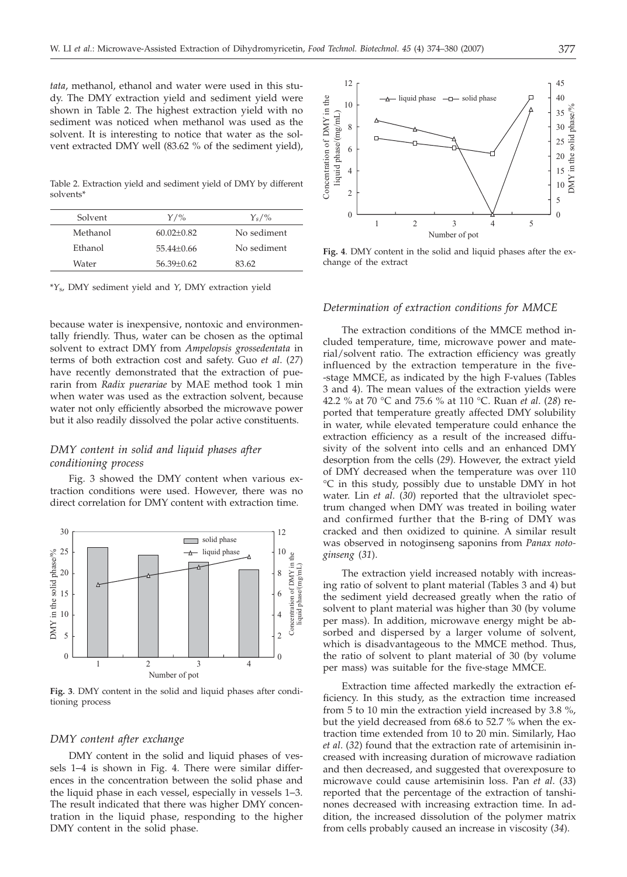*tata*, methanol, ethanol and water were used in this study. The DMY extraction yield and sediment yield were shown in Table 2. The highest extraction yield with no sediment was noticed when methanol was used as the solvent. It is interesting to notice that water as the solvent extracted DMY well (83.62 % of the sediment yield),

Table 2. Extraction yield and sediment yield of DMY by different solvents\*

| Solvent  | $Y/\%$         | $Y_s/\%$    |
|----------|----------------|-------------|
| Methanol | $60.02 + 0.82$ | No sediment |
| Ethanol  | $55.44 + 0.66$ | No sediment |
| Water    | $56.39 + 0.62$ | 83.62       |
|          |                |             |

\**Y*s, DMY sediment yield and *Y*, DMY extraction yield

because water is inexpensive, nontoxic and environmentally friendly. Thus, water can be chosen as the optimal solvent to extract DMY from *Ampelopsis grossedentata* in terms of both extraction cost and safety. Guo *et al*. (*27*) have recently demonstrated that the extraction of puerarin from *Radix puerariae* by MAE method took 1 min when water was used as the extraction solvent, because water not only efficiently absorbed the microwave power but it also readily dissolved the polar active constituents.

# *DMY content in solid and liquid phases after conditioning process*

Fig. 3 showed the DMY content when various extraction conditions were used. However, there was no direct correlation for DMY content with extraction time.



**Fig. 3**. DMY content in the solid and liquid phases after conditioning process

## *DMY content after exchange*

DMY content in the solid and liquid phases of vessels 1-4 is shown in Fig. 4. There were similar differences in the concentration between the solid phase and the liquid phase in each vessel, especially in vessels 1-3. The result indicated that there was higher DMY concentration in the liquid phase, responding to the higher DMY content in the solid phase.



**Fig. 4**. DMY content in the solid and liquid phases after the exchange of the extract

## *Determination of extraction conditions for MMCE*

The extraction conditions of the MMCE method included temperature, time, microwave power and material/solvent ratio. The extraction efficiency was greatly influenced by the extraction temperature in the five- -stage MMCE, as indicated by the high F-values (Tables 3 and 4). The mean values of the extraction yields were 42.2 % at 70 °C and 75.6 % at 110 °C. Ruan *et al*. (*28*) reported that temperature greatly affected DMY solubility in water, while elevated temperature could enhance the extraction efficiency as a result of the increased diffusivity of the solvent into cells and an enhanced DMY desorption from the cells (*29*). However, the extract yield of DMY decreased when the temperature was over 110 °C in this study, possibly due to unstable DMY in hot water. Lin *et al*. (*30*) reported that the ultraviolet spectrum changed when DMY was treated in boiling water and confirmed further that the B-ring of DMY was cracked and then oxidized to quinine. A similar result was observed in notoginseng saponins from *Panax notoginseng* (*31*).

The extraction yield increased notably with increasing ratio of solvent to plant material (Tables 3 and 4) but the sediment yield decreased greatly when the ratio of solvent to plant material was higher than 30 (by volume per mass). In addition, microwave energy might be absorbed and dispersed by a larger volume of solvent, which is disadvantageous to the MMCE method. Thus, the ratio of solvent to plant material of 30 (by volume per mass) was suitable for the five-stage MMCE.

Extraction time affected markedly the extraction efficiency. In this study, as the extraction time increased from 5 to 10 min the extraction yield increased by 3.8 %, but the yield decreased from 68.6 to 52.7 % when the extraction time extended from 10 to 20 min. Similarly, Hao *et al*. (*32*) found that the extraction rate of artemisinin increased with increasing duration of microwave radiation and then decreased, and suggested that overexposure to microwave could cause artemisinin loss. Pan *et al*. (*33*) reported that the percentage of the extraction of tanshinones decreased with increasing extraction time. In addition, the increased dissolution of the polymer matrix from cells probably caused an increase in viscosity (*34*).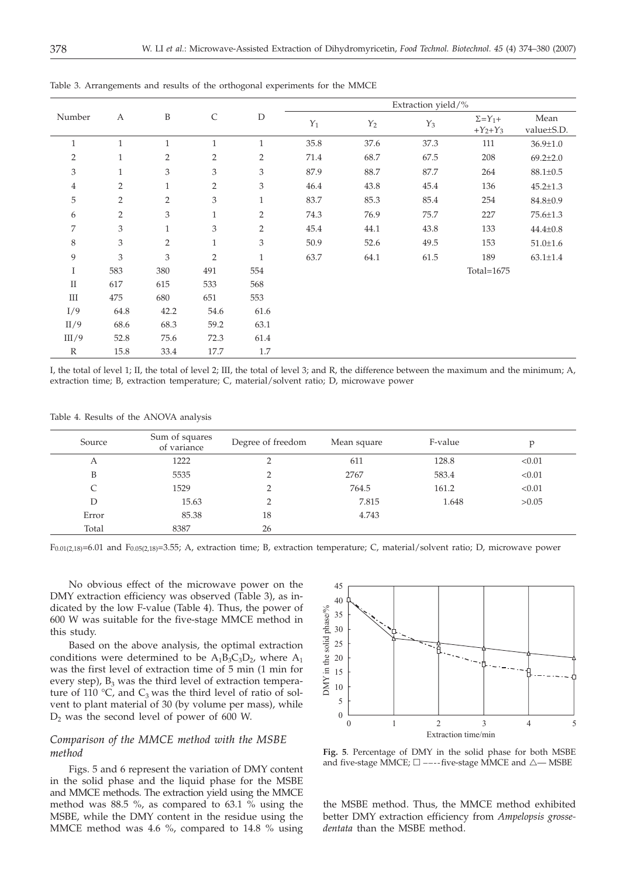|                | A              | B              | $\mathsf{C}$   | $\mathbf D$    | Extraction yield/% |                 |               |                                |                    |
|----------------|----------------|----------------|----------------|----------------|--------------------|-----------------|---------------|--------------------------------|--------------------|
| Number         |                |                |                |                | $Y_1$              | $\mathcal{Y}_2$ | $Y_3$         | $\Sigma = Y_1 +$<br>$+Y_2+Y_3$ | Mean<br>value±S.D. |
| $\mathbf{1}$   | $\mathbf{1}$   | $\mathbf{1}$   | $\mathbf{1}$   | $\mathbf{1}$   | 35.8               | 37.6            | 37.3          | 111                            | $36.9 \pm 1.0$     |
| $\overline{2}$ | $\mathbf{1}$   | $\overline{2}$ | 2              | $\overline{2}$ | 71.4               | 68.7            | 67.5          | 208                            | $69.2 \pm 2.0$     |
| 3              | $\mathbf{1}$   | 3              | 3              | 3              | 87.9               | 88.7            | 87.7          | 264                            | $88.1 \pm 0.5$     |
| 4              | $\overline{2}$ | $\mathbf{1}$   | $\overline{2}$ | 3              | 46.4               | 43.8            | 45.4          | 136                            | $45.2 \pm 1.3$     |
| 5              | $\overline{2}$ | $\overline{2}$ | 3              | $\mathbf{1}$   | 83.7               | 85.3            | 85.4          | 254                            | 84.8±0.9           |
| 6              | $\overline{2}$ | 3              | $\mathbf{1}$   | $\overline{2}$ | 74.3               | 76.9            | 75.7          | 227                            | 75.6±1.3           |
| 7              | 3              | $\mathbf{1}$   | 3              | $\overline{2}$ | 45.4               | 44.1            | 43.8          | 133                            | $44.4 \pm 0.8$     |
| 8              | 3              | $\overline{2}$ | $\mathbf{1}$   | 3              | 50.9               | 52.6            | 49.5          | 153                            | $51.0 \pm 1.6$     |
| 9              | 3              | 3              | $\overline{2}$ | $\mathbf{1}$   | 63.7               | 64.1            | 61.5          | 189                            | $63.1 \pm 1.4$     |
| I              | 583            | 380            | 491            | 554            |                    |                 | Total= $1675$ |                                |                    |
| $\mathbf{I}$   | 617            | 615            | 533            | 568            |                    |                 |               |                                |                    |
| $\rm III$      | 475            | 680            | 651            | 553            |                    |                 |               |                                |                    |
| I/9            | 64.8           | 42.2           | 54.6           | 61.6           |                    |                 |               |                                |                    |
| II/9           | 68.6           | 68.3           | 59.2           | 63.1           |                    |                 |               |                                |                    |
| III/9          | 52.8           | 75.6           | 72.3           | 61.4           |                    |                 |               |                                |                    |
| $\mathbb{R}$   | 15.8           | 33.4           | 17.7           | $1.7\,$        |                    |                 |               |                                |                    |

Table 3. Arrangements and results of the orthogonal experiments for the MMCE

I, the total of level 1; II, the total of level 2; III, the total of level 3; and R, the difference between the maximum and the minimum; A, extraction time; B, extraction temperature; C, material/solvent ratio; D, microwave power

Table 4. Results of the ANOVA analysis

| Source | Sum of squares<br>of variance | Degree of freedom | Mean square | F-value | Ď      |
|--------|-------------------------------|-------------------|-------------|---------|--------|
| А      | 1222                          |                   | 611         | 128.8   | < 0.01 |
| B      | 5535                          |                   | 2767        | 583.4   | < 0.01 |
| C      | 1529                          | ∍                 | 764.5       | 161.2   | < 0.01 |
| D      | 15.63                         | ∍                 | 7.815       | 1.648   | >0.05  |
| Error  | 85.38                         | 18                | 4.743       |         |        |
| Total  | 8387                          | 26                |             |         |        |

F0.01(2,18)=6.01 and F0.05(2,18)=3.55; A, extraction time; B, extraction temperature; C, material/solvent ratio; D, microwave power

No obvious effect of the microwave power on the DMY extraction efficiency was observed (Table 3), as indicated by the low F-value (Table 4). Thus, the power of 600 W was suitable for the five-stage MMCE method in this study.

Based on the above analysis, the optimal extraction conditions were determined to be  $A_1B_3C_3D_2$ , where  $A_1$ was the first level of extraction time of 5 min (1 min for every step),  $B_3$  was the third level of extraction temperature of 110 °C, and  $C_3$  was the third level of ratio of solvent to plant material of 30 (by volume per mass), while  $D_2$  was the second level of power of 600 W.

# *Comparison of the MMCE method with the MSBE method*

Figs. 5 and 6 represent the variation of DMY content in the solid phase and the liquid phase for the MSBE and MMCE methods. The extraction yield using the MMCE method was 88.5 %, as compared to 63.1 % using the MSBE, while the DMY content in the residue using the MMCE method was 4.6 %, compared to 14.8 % using



**Fig. 5**. Percentage of DMY in the solid phase for both MSBE and five-stage MMCE;  $\square$  ----five-stage MMCE and  $\triangle$ — MSBE

the MSBE method. Thus, the MMCE method exhibited better DMY extraction efficiency from *Ampelopsis grossedentata* than the MSBE method.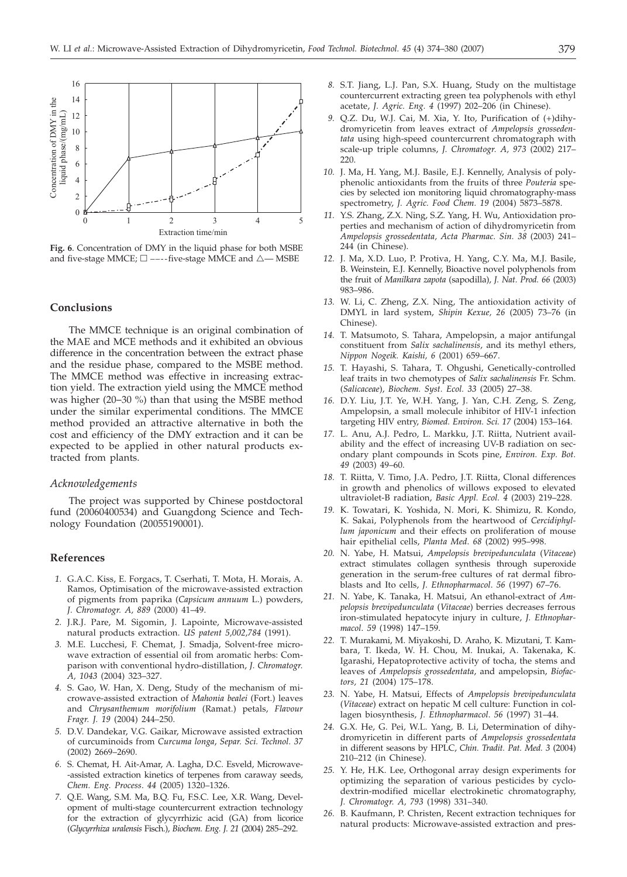

**Fig. 6**. Concentration of DMY in the liquid phase for both MSBE and five-stage MMCE;  $\square$  ----five-stage MMCE and  $\triangle$ — MSBE

## **Conclusions**

The MMCE technique is an original combination of the MAE and MCE methods and it exhibited an obvious difference in the concentration between the extract phase and the residue phase, compared to the MSBE method. The MMCE method was effective in increasing extraction yield. The extraction yield using the MMCE method was higher (20-30 %) than that using the MSBE method under the similar experimental conditions. The MMCE method provided an attractive alternative in both the cost and efficiency of the DMY extraction and it can be expected to be applied in other natural products extracted from plants.

#### *Acknowledgements*

The project was supported by Chinese postdoctoral fund (20060400534) and Guangdong Science and Technology Foundation (20055190001).

## **References**

- *1.* G.A.C. Kiss, E. Forgacs, T. Cserhati, T. Mota, H. Morais, A. Ramos, Optimisation of the microwave-assisted extraction of pigments from paprika (*Capsicum annuum* L.) powders, *J. Chromatogr. A, 889* (2000) 41–49.
- *2.* J.R.J. Pare, M. Sigomin, J. Lapointe, Microwave-assisted natural products extraction. *US patent 5,002,784* (1991).
- *3.* M.E. Lucchesi, F. Chemat, J. Smadja, Solvent-free microwave extraction of essential oil from aromatic herbs: Comparison with conventional hydro-distillation, *J. Chromatogr. A, 1043* (2004) 323–327.
- *4.* S. Gao, W. Han, X. Deng, Study of the mechanism of microwave-assisted extraction of *Mahonia bealei* (Fort.) leaves and *Chrysanthemum morifolium* (Ramat.) petals, *Flavour Fragr. J. 19* (2004) 244–250.
- *5.* D.V. Dandekar, V.G. Gaikar, Microwave assisted extraction of curcuminoids from *Curcuma longa*, *Separ. Sci. Technol. 37* (2002) 2669–2690.
- *6.* S. Chemat, H. Ait-Amar, A. Lagha, D.C. Esveld, Microwave- -assisted extraction kinetics of terpenes from caraway seeds, *Chem. Eng. Process*. *44* (2005) 1320–1326.
- *7.* Q.E. Wang, S.M. Ma, B.Q. Fu, F.S.C. Lee, X.R. Wang, Development of multi-stage countercurrent extraction technology for the extraction of glycyrrhizic acid (GA) from licorice (*Glycyrrhiza uralensis* Fisch.), *Biochem. Eng. J. 21* (2004) 285–292.
- *8.* S.T. Jiang, L.J. Pan, S.X. Huang, Study on the multistage countercurrent extracting green tea polyphenols with ethyl acetate, *J. Agric. Eng. 4* (1997) 202–206 (in Chinese).
- *9.* Q.Z. Du, W.J. Cai, M. Xia, Y. Ito, Purification of (+)dihydromyricetin from leaves extract of *Ampelopsis grossedentata* using high-speed countercurrent chromatograph with scale-up triple columns, *J. Chromatogr. A, 973* (2002) 217– 220.
- *10.* J. Ma, H. Yang, M.J. Basile, E.J. Kennelly, Analysis of polyphenolic antioxidants from the fruits of three *Pouteria* species by selected ion monitoring liquid chromatography-mass spectrometry, *J. Agric. Food Chem. 19* (2004) 5873–5878.
- *11.* Y.S. Zhang, Z.X. Ning, S.Z. Yang, H. Wu, Antioxidation properties and mechanism of action of dihydromyricetin from *Ampelopsis grossedentata, Acta Pharmac. Sin. 38* (2003) 241– 244 (in Chinese).
- *12.* J. Ma, X.D. Luo, P. Protiva, H. Yang, C.Y. Ma, M.J. Basile, B. Weinstein, E.J. Kennelly, Bioactive novel polyphenols from the fruit of *Manilkara zapota* (sapodilla), *J. Nat. Prod. 66* (2003) 983–986.
- *13.* W. Li, C. Zheng, Z.X. Ning, The antioxidation activity of DMYL in lard system, *Shipin Kexue, 26* (2005) 73–76 (in Chinese).
- *14.* T. Matsumoto, S. Tahara, Ampelopsin, a major antifungal constituent from *Salix sachalinensis*, and its methyl ethers, *Nippon Nogeik. Kaishi, 6* (2001) 659–667.
- *15.* T. Hayashi, S. Tahara, T. Ohgushi, Genetically-controlled leaf traits in two chemotypes of *Salix sachalinensis* Fr. Schm. (*Salicaceae*), *Biochem. Syst. Ecol. 33* (2005) 27–38.
- *16.* D.Y. Liu, J.T. Ye, W.H. Yang, J. Yan, C.H. Zeng, S. Zeng, Ampelopsin, a small molecule inhibitor of HIV-1 infection targeting HIV entry, *Biomed. Environ. Sci. 17* (2004) 153–164.
- *17.* L. Anu, A.J. Pedro, L. Markku, J.T. Riitta, Nutrient availability and the effect of increasing UV-B radiation on secondary plant compounds in Scots pine, *Environ. Exp. Bot. 49* (2003) 49–60.
- *18.* T. Riitta, V. Timo, J.A. Pedro, J.T. Riitta, Clonal differences in growth and phenolics of willows exposed to elevated ultraviolet-B radiation, *Basic Appl. Ecol. 4* (2003) 219–228.
- *19.* K. Towatari, K. Yoshida, N. Mori, K. Shimizu, R. Kondo, K. Sakai, Polyphenols from the heartwood of *Cercidiphyllum japonicum* and their effects on proliferation of mouse hair epithelial cells, *Planta Med*. *68* (2002) 995–998.
- *20.* N. Yabe, H. Matsui, *Ampelopsis brevipedunculata* (*Vitaceae*) extract stimulates collagen synthesis through superoxide generation in the serum-free cultures of rat dermal fibroblasts and Ito cells, *J. Ethnopharmacol*. *56* (1997) 67–76.
- *21.* N. Yabe, K. Tanaka, H. Matsui, An ethanol-extract of *Ampelopsis brevipedunculata* (*Vitaceae*) berries decreases ferrous iron-stimulated hepatocyte injury in culture, *J. Ethnopharmacol*. *59* (1998) 147–159.
- *22.* T. Murakami, M. Miyakoshi, D. Araho, K. Mizutani, T. Kambara, T. Ikeda, W. H. Chou, M. Inukai, A. Takenaka, K. Igarashi, Hepatoprotective activity of tocha, the stems and leaves of *Ampelopsis grossedentata*, and ampelopsin, *Biofactors, 21* (2004) 175–178.
- *23.* N. Yabe, H. Matsui, Effects of *Ampelopsis brevipedunculata* (*Vitaceae*) extract on hepatic M cell culture: Function in collagen biosynthesis, *J. Ethnopharmacol*. *56* (1997) 31–44.
- *24.* G.X. He, G. Pei, W.L. Yang, B. Li, Determination of dihydromyricetin in different parts of *Ampelopsis grossedentata* in different seasons by HPLC, *Chin. Tradit. Pat. Med. 3* (2004) 210–212 (in Chinese).
- *25.* Y. He, H.K. Lee, Orthogonal array design experiments for optimizing the separation of various pesticides by cyclodextrin-modified micellar electrokinetic chromatography, *J. Chromatogr. A, 793* (1998) 331–340.
- *26.* B. Kaufmann, P. Christen, Recent extraction techniques for natural products: Microwave-assisted extraction and pres-